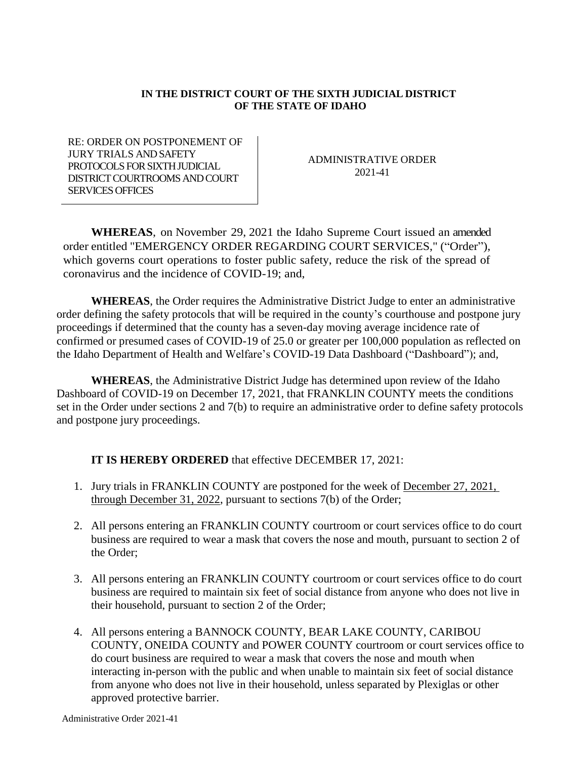## **IN THE DISTRICT COURT OF THE SIXTH JUDICIAL DISTRICT OF THE STATE OF IDAHO**

RE: ORDER ON POSTPONEMENT OF JURY TRIALS AND SAFETY PROTOCOLS FOR SIXTH JUDICIAL DISTRICT COURTROOMS AND COURT SERVICES OFFICES

ADMINISTRATIVE ORDER 2021-41

**WHEREAS**, on November 29, 2021 the Idaho Supreme Court issued an amended order entitled "EMERGENCY ORDER REGARDING COURT SERVICES," ("Order"), which governs court operations to foster public safety, reduce the risk of the spread of coronavirus and the incidence of COVID-19; and,

**WHEREAS**, the Order requires the Administrative District Judge to enter an administrative order defining the safety protocols that will be required in the county's courthouse and postpone jury proceedings if determined that the county has a seven-day moving average incidence rate of confirmed or presumed cases of COVID-19 of 25.0 or greater per 100,000 population as reflected on the Idaho Department of Health and Welfare's COVID-19 Data Dashboard ("Dashboard"); and,

**WHEREAS**, the Administrative District Judge has determined upon review of the Idaho Dashboard of COVID-19 on December 17, 2021, that FRANKLIN COUNTY meets the conditions set in the Order under sections 2 and 7(b) to require an administrative order to define safety protocols and postpone jury proceedings.

## **IT IS HEREBY ORDERED** that effective DECEMBER 17, 2021:

- 1. Jury trials in FRANKLIN COUNTY are postponed for the week of December 27, 2021, through December 31, 2022, pursuant to sections 7(b) of the Order;
- 2. All persons entering an FRANKLIN COUNTY courtroom or court services office to do court business are required to wear a mask that covers the nose and mouth, pursuant to section 2 of the Order;
- 3. All persons entering an FRANKLIN COUNTY courtroom or court services office to do court business are required to maintain six feet of social distance from anyone who does not live in their household, pursuant to section 2 of the Order;
- 4. All persons entering a BANNOCK COUNTY, BEAR LAKE COUNTY, CARIBOU COUNTY, ONEIDA COUNTY and POWER COUNTY courtroom or court services office to do court business are required to wear a mask that covers the nose and mouth when interacting in-person with the public and when unable to maintain six feet of social distance from anyone who does not live in their household, unless separated by Plexiglas or other approved protective barrier.